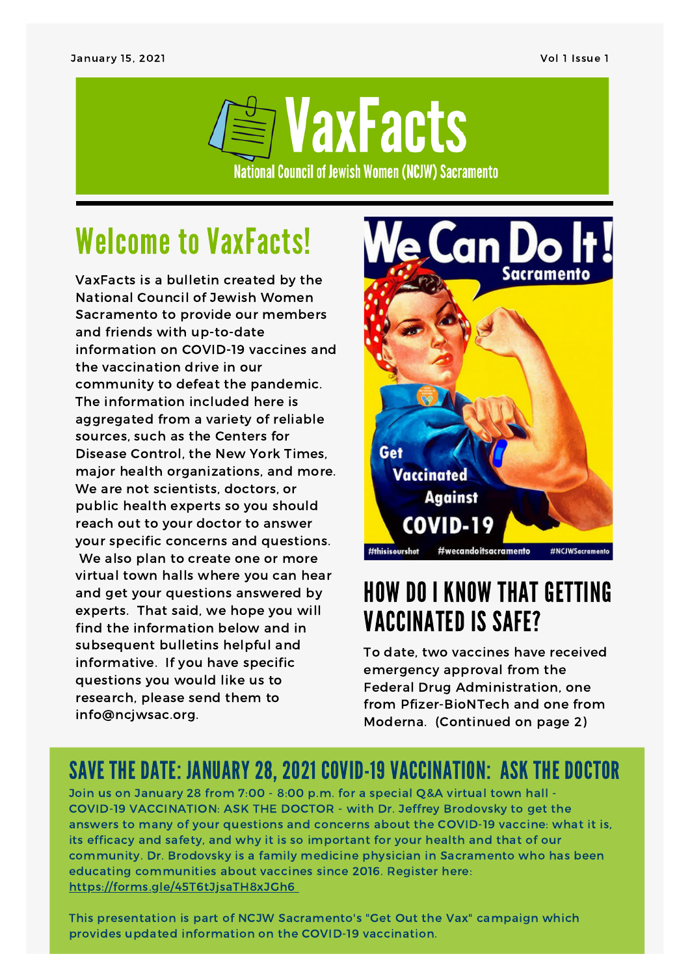

# Welcome to VaxFacts!

VaxFacts is a bulletin created by the National Council of Jewish Women Sacramento to provide our members and friends with up-to-date information on COVID-19 vaccines and the vaccination drive in our community to defeat the pandemic. The information included here is aggregated from a variety of reliable sources, such as the Centers for Disease Control, the New York Times, major health organizations, and more. We are not scientists, doctors, or public health experts so you should reach out to your doctor to answer your specific concerns and questions. We also plan to create one or more virtual town halls where you can hear and get your questions answered by experts. That said, we hope you will find the information below and in subsequent bulletins helpful and informative. If you have specific questions you would like us to research, please send them to info@ncjwsac.org.



### HOW DO I KNOW THAT GETTING VACCINATED IS SAFE?

To date, two vaccines have received emergency approval from the Federal Drug Administration, one from Pfizer-BioNTech and one from Moderna. (Continued on page 2)

#### SAVE THE DATE: JANUARY 28, 2021 COVID-19 VACCINATION: ASK THE DOCTOR

Join us on January 28 from 7:00 - 8:00 p.m. for a special Q&A virtual town hall - COVID-19 VACCINATION: ASK THE DOCTOR - with Dr. Jeffrey Brodovsky to get the answers to many of your questions and concerns about the COVID-19 vaccine: what it is, its efficacy and safety, and why it is so important for your health and that of our community. Dr. Brodovsky is a family medicine physician in Sacramento who has been educating communities about vaccines since 2016. Register here: <https://forms.gle/45T6tJjsaTH8xJGh6>

This presentation is part of NCJW Sacramento's "Get Out the Vax" campaign which provides updated information on the COVID-19 vaccination.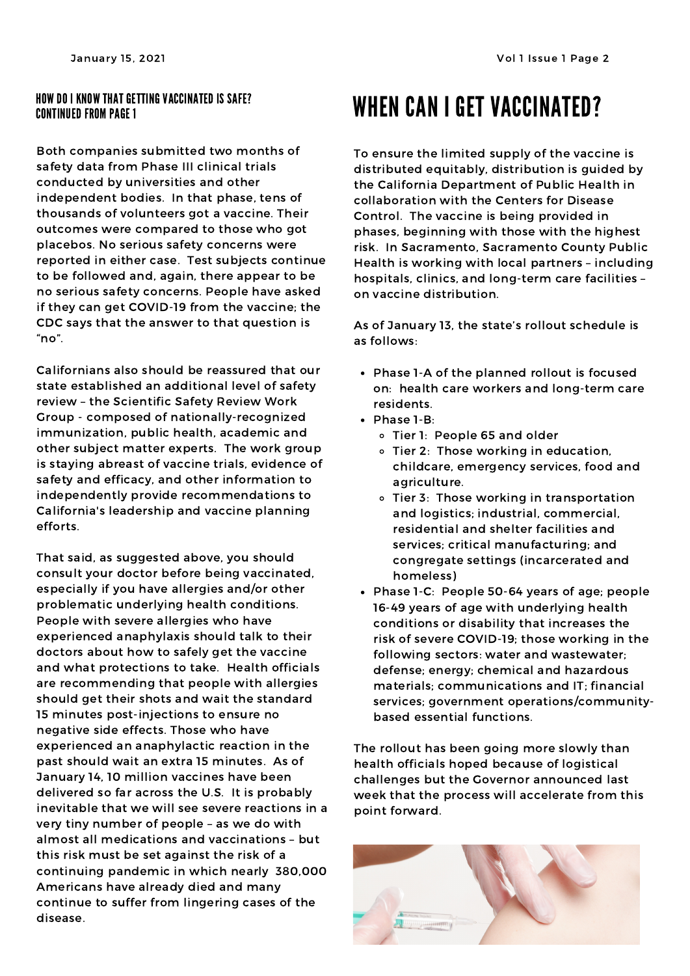#### HOW DO I KNOW THAT GETTING VACCINATED IS SAFE? CONTINUED FROM PAGE 1

Both companies submitted two months of safety data from Phase III clinical trials conducted by universities and other independent bodies. In that phase, tens of thousands of volunteers got a vaccine. Their outcomes were compared to those who got placebos. No serious safety concerns were reported in either case. Test subjects continue to be followed and, again, there appear to be no serious safety concerns. People have asked if they can get COVID-19 from the vaccine; the CDC says that the answer to that question is "no".

Californians also should be reassured that our state established an additional level of safety review – the Scientific Safety Review Work Group - composed of nationally-recognized immunization, public health, academic and other subject matter experts. The work group is staying abreast of vaccine trials, evidence of safety and efficacy, and other information to independently provide recommendations to California's leadership and vaccine planning efforts.

That said, as suggested above, you should consult your doctor before being vaccinated, especially if you have allergies and/or other problematic underlying health conditions. People with severe allergies who have experienced anaphylaxis should talk to their doctors about how to safely get the vaccine and what protections to take. Health officials are recommending that people with allergies should get their shots and wait the standard 15 minutes post-injections to ensure no negative side effects. Those who have experienced an anaphylactic reaction in the past should wait an extra 15 minutes. As of January 14, 10 million vaccines have been delivered so far across the U.S. It is probably inevitable that we will see severe reactions in a very tiny number of people – as we do with almost all medications and vaccinations – but this risk must be set against the risk of a continuing pandemic in which nearly 380,000 Americans have already died and many continue to suffer from lingering cases of the disease.

## WHEN CAN I GET VACCINATED?

To ensure the limited supply of the vaccine is distributed equitably, distribution is guided by the California Department of Public Health in collaboration with the Centers for Disease Control. The vaccine is being provided in phases, beginning with those with the highest risk. In Sacramento, Sacramento County Public Health is working with local partners – including hospitals, clinics, and long-term care facilities – on vaccine distribution.

As of January 13, the state's rollout schedule is as follows:

- Phase 1-A of the planned rollout is focused on: health care workers and long-term care residents.
- $\bullet$  Phase 1-B:
	- Tier 1: People 65 and older
	- o Tier 2: Those working in education, childcare, emergency services, food and agriculture.
	- Tier 3: Those working in transportation and logistics; industrial, commercial, residential and shelter facilities and services; critical manufacturing; and congregate settings (incarcerated and homeless)
- Phase 1-C: People 50-64 years of age; people 16-49 years of age with underlying health conditions or disability that increases the risk of severe COVID-19; those working in the following sectors: water and wastewater; defense; energy; chemical and hazardous materials; communications and IT; financial services; government operations/communitybased essential functions.

The rollout has been going more slowly than health officials hoped because of logistical challenges but the Governor announced last week that the process will accelerate from this point forward.

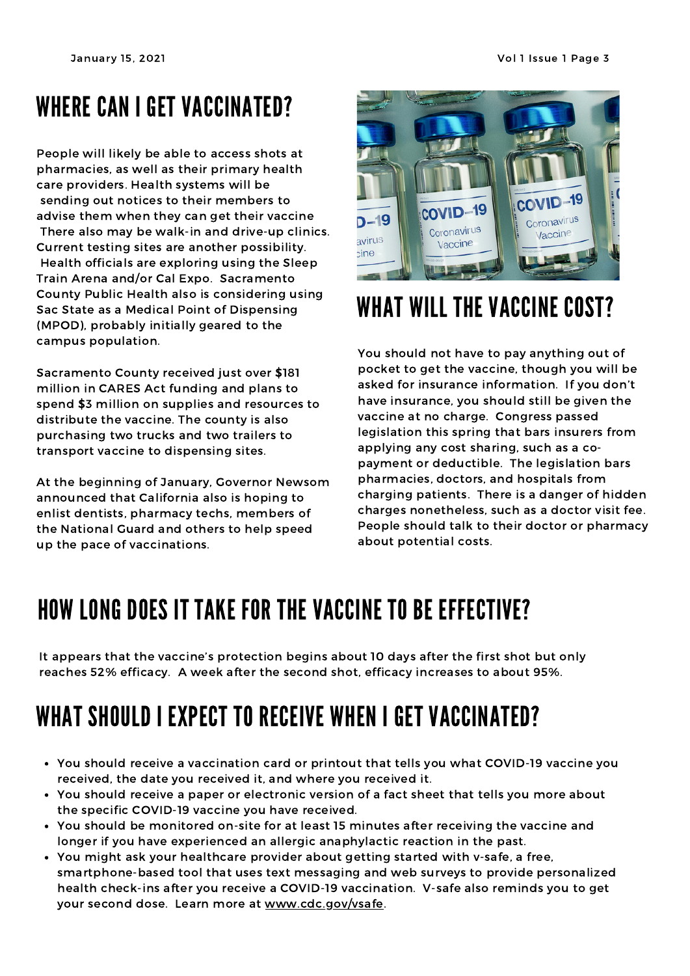## WHERE CAN I GET VACCINATED?

People will likely be able to access shots at pharmacies, as well as their primary health care providers. Health systems will be sending out notices to their members to advise them when they can get their vaccine There also may be walk-in and drive-up clinics. Current testing sites are another possibility. Health officials are exploring using the Sleep Train Arena and/or Cal Expo. Sacramento County Public Health also is considering using Sac State as a Medical Point of Dispensing (MPOD), probably initially geared to the campus population.

Sacramento County received just over \$181 million in CARES Act funding and plans to spend \$3 million on supplies and resources to distribute the vaccine. The county is also purchasing two trucks and two trailers to transport vaccine to dispensing sites.

At the beginning of January, Governor Newsom announced that California also is hoping to enlist dentists, pharmacy techs, members of the National Guard and others to help speed up the pace of vaccinations.



## WHAT WILL THE VACCINE COST?

You should not have to pay anything out of pocket to get the vaccine, though you will be asked for insurance information. If you don't have insurance, you should still be given the vaccine at no charge. Congress passed legislation this spring that bars insurers from applying any cost sharing, such as a copayment or deductible. The legislation bars pharmacies, doctors, and hospitals from charging patients. There is a danger of hidden charges nonetheless, such as a doctor visit fee. People should talk to their doctor or pharmacy about potential costs.

## HOW LONG DOES IT TAKE FOR THE VACCINE TO BE EFFECTIVE?

It appears that the vaccine's protection begins about 10 days after the first shot but only reaches 52% efficacy. A week after the second shot, efficacy increases to about 95%.

# WHAT SHOULD I EXPECT TO RECEIVE WHEN I GET VACCINATED?

- You should receive a vaccination card or printout that tells you what COVID-19 vaccine you received, the date you received it, and where you received it.
- You should receive a paper or electronic version of a fact sheet that tells you more about the specific COVID-19 vaccine you have received.
- You should be monitored on-site for at least 15 minutes after receiving the vaccine and longer if you have experienced an allergic anaphylactic reaction in the past.
- You might ask your healthcare provider about getting started with v-safe, a free, smartphone-based tool that uses text messaging and web surveys to provide personalized health check-ins after you receive a COVID-19 vaccination. V-safe also reminds you to get your second dose. Learn more at [www.cdc.gov/vsafe](http://www.cdc.gov/vsafe).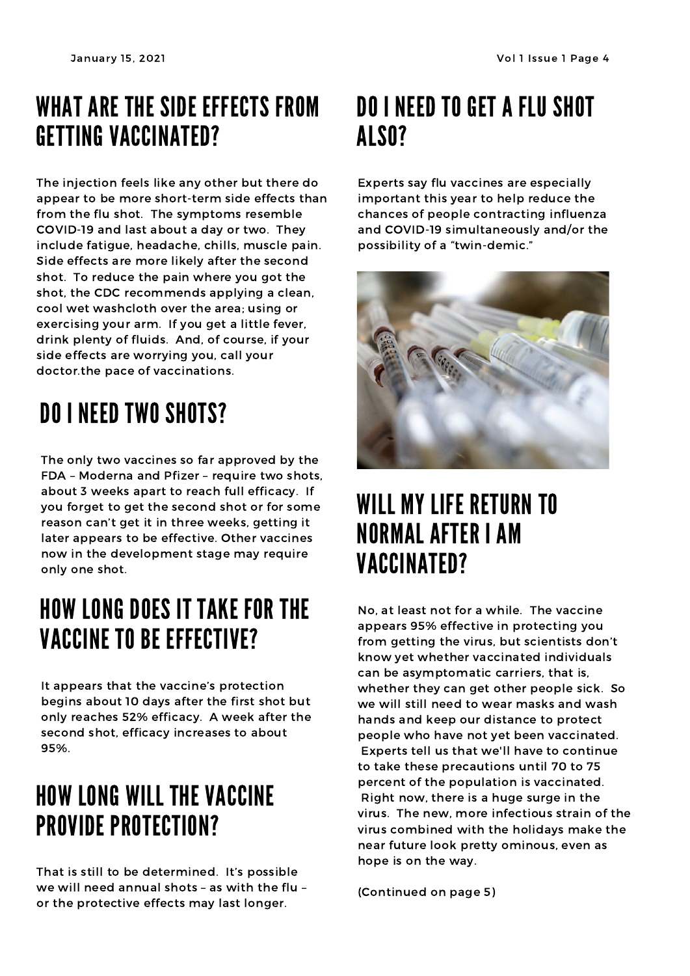## WHAT ARE THE SIDE EFFECTS FROM GETTING VACCINATED?

The injection feels like any other but there do appear to be more short-term side effects than from the flu shot. The symptoms resemble COVID-19 and last about a day or two. They include fatigue, headache, chills, muscle pain. Side effects are more likely after the second shot. To reduce the pain where you got the shot, the CDC recommends applying a clean, cool wet washcloth over the area; using or exercising your arm. If you get a little fever, drink plenty of fluids. And, of course, if your side effects are worrying you, call your doctor.the pace of vaccinations.

# DO I NEED TWO SHOTS?

The only two vaccines so far approved by the FDA – Moderna and Pfizer – require two shots, about 3 weeks apart to reach full efficacy. If you forget to get the second shot or for some reason can't get it in three weeks, getting it later appears to be effective. Other vaccines now in the development stage may require only one shot.

## HOW LONG DOES IT TAKE FOR THE VACCINE TO BE EFFECTIVE?

It appears that the vaccine's protection begins about 10 days after the first shot but only reaches 52% efficacy. A week after the second shot, efficacy increases to about 95%.

## HOW LONG WILL THE VACCINE PROVIDE PROTECTION?

That is still to be determined. It's possible we will need annual shots – as with the flu – or the protective effects may last longer.

## DO I NEED TO GET A FLU SHOT ALSO?

Experts say flu vaccines are especially important this year to help reduce the chances of people contracting influenza and COVID-19 simultaneously and/or the possibility of a "twin-demic."



## WILL MY LIFE RETURN TO NORMAL AFTER I AM VACCINATED?

No, at least not for a while. The vaccine appears 95% effective in protecting you from getting the virus, but scientists don't know yet whether vaccinated individuals can be asymptomatic carriers, that is, whether they can get other people sick. So we will still need to wear masks and wash hands and keep our distance to protect people who have not yet been vaccinated. Experts tell us that we'll have to continue to take these precautions until 70 to 75 percent of the population is vaccinated. Right now, there is a huge surge in the virus. The new, more infectious strain of the virus combined with the holidays make the near future look pretty ominous, even as hope is on the way.

(Continued on page 5)